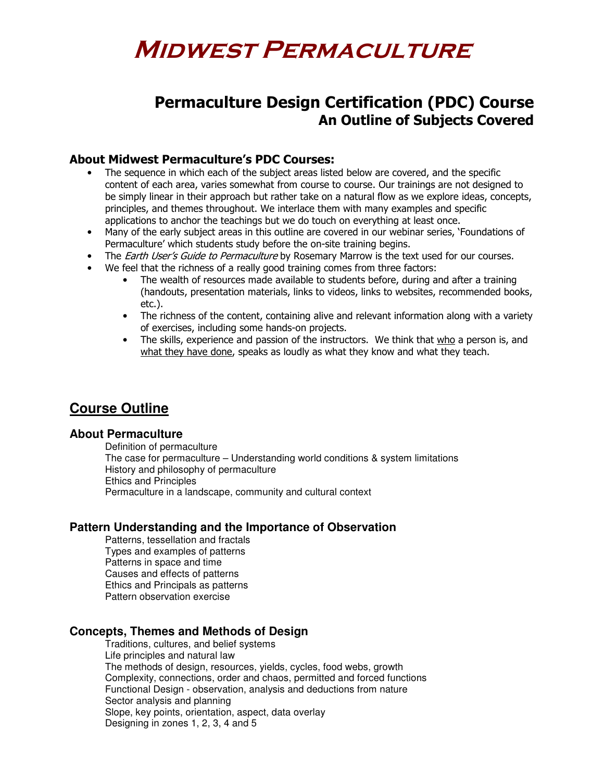# Permaculture Design Certification (PDC) Course An Outline of Subjects Covered

# About Midwest Permaculture's PDC Courses:

- The sequence in which each of the subject areas listed below are covered, and the specific content of each area, varies somewhat from course to course. Our trainings are not designed to be simply linear in their approach but rather take on a natural flow as we explore ideas, concepts, principles, and themes throughout. We interlace them with many examples and specific applications to anchor the teachings but we do touch on everything at least once.
- Many of the early subject areas in this outline are covered in our webinar series, 'Foundations of Permaculture' which students study before the on-site training begins.
- The *Earth User's Guide to Permaculture* by Rosemary Marrow is the text used for our courses.
- We feel that the richness of a really good training comes from three factors:
	- The wealth of resources made available to students before, during and after a training (handouts, presentation materials, links to videos, links to websites, recommended books, etc.).
	- The richness of the content, containing alive and relevant information along with a variety of exercises, including some hands-on projects.
	- The skills, experience and passion of the instructors. We think that who a person is, and what they have done, speaks as loudly as what they know and what they teach.

# **Course Outline**

#### **About Permaculture**

Definition of permaculture The case for permaculture – Understanding world conditions & system limitations History and philosophy of permaculture Ethics and Principles Permaculture in a landscape, community and cultural context

# **Pattern Understanding and the Importance of Observation**

Patterns, tessellation and fractals Types and examples of patterns Patterns in space and time Causes and effects of patterns Ethics and Principals as patterns Pattern observation exercise

# **Concepts, Themes and Methods of Design**

Traditions, cultures, and belief systems Life principles and natural law The methods of design, resources, yields, cycles, food webs, growth Complexity, connections, order and chaos, permitted and forced functions Functional Design - observation, analysis and deductions from nature Sector analysis and planning Slope, key points, orientation, aspect, data overlay Designing in zones 1, 2, 3, 4 and 5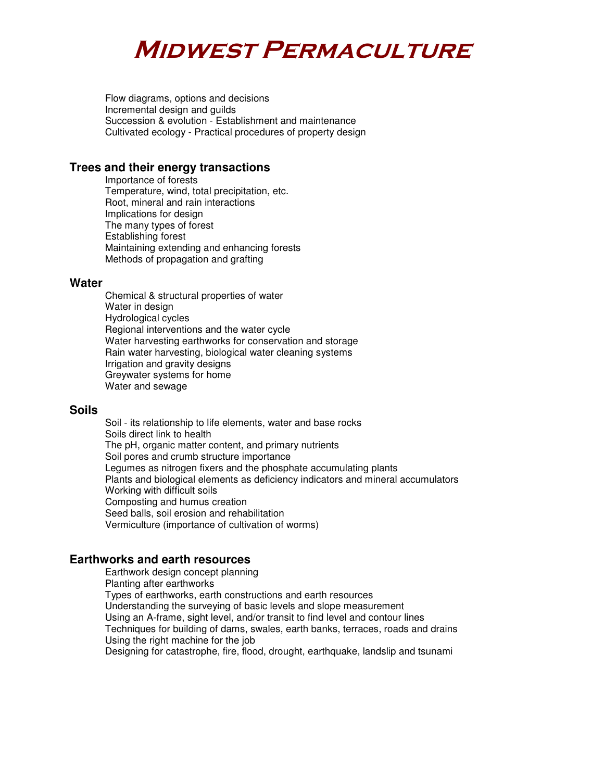Flow diagrams, options and decisions Incremental design and guilds Succession & evolution - Establishment and maintenance Cultivated ecology - Practical procedures of property design

### **Trees and their energy transactions**

Importance of forests Temperature, wind, total precipitation, etc. Root, mineral and rain interactions Implications for design The many types of forest Establishing forest Maintaining extending and enhancing forests Methods of propagation and grafting

#### **Water**

Chemical & structural properties of water Water in design Hydrological cycles Regional interventions and the water cycle Water harvesting earthworks for conservation and storage Rain water harvesting, biological water cleaning systems Irrigation and gravity designs Greywater systems for home Water and sewage

#### **Soils**

Soil - its relationship to life elements, water and base rocks Soils direct link to health The pH, organic matter content, and primary nutrients Soil pores and crumb structure importance Legumes as nitrogen fixers and the phosphate accumulating plants Plants and biological elements as deficiency indicators and mineral accumulators Working with difficult soils Composting and humus creation Seed balls, soil erosion and rehabilitation Vermiculture (importance of cultivation of worms)

# **Earthworks and earth resources**

Earthwork design concept planning Planting after earthworks Types of earthworks, earth constructions and earth resources Understanding the surveying of basic levels and slope measurement Using an A-frame, sight level, and/or transit to find level and contour lines Techniques for building of dams, swales, earth banks, terraces, roads and drains Using the right machine for the job Designing for catastrophe, fire, flood, drought, earthquake, landslip and tsunami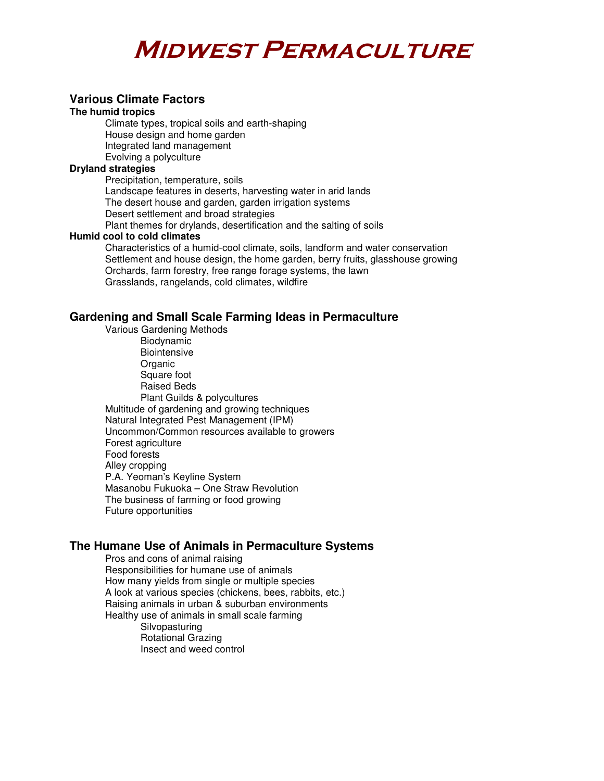#### **Various Climate Factors**

#### **The humid tropics**

Climate types, tropical soils and earth-shaping House design and home garden Integrated land management Evolving a polyculture

#### **Dryland strategies**

Precipitation, temperature, soils Landscape features in deserts, harvesting water in arid lands The desert house and garden, garden irrigation systems Desert settlement and broad strategies Plant themes for drylands, desertification and the salting of soils **Humid cool to cold climates** 

Characteristics of a humid-cool climate, soils, landform and water conservation Settlement and house design, the home garden, berry fruits, glasshouse growing Orchards, farm forestry, free range forage systems, the lawn Grasslands, rangelands, cold climates, wildfire

#### **Gardening and Small Scale Farming Ideas in Permaculture**

Various Gardening Methods Biodynamic **Biointensive Organic** Square foot Raised Beds Plant Guilds & polycultures Multitude of gardening and growing techniques Natural Integrated Pest Management (IPM) Uncommon/Common resources available to growers Forest agriculture Food forests Alley cropping P.A. Yeoman's Keyline System Masanobu Fukuoka – One Straw Revolution The business of farming or food growing Future opportunities

#### **The Humane Use of Animals in Permaculture Systems**

Pros and cons of animal raising Responsibilities for humane use of animals How many yields from single or multiple species A look at various species (chickens, bees, rabbits, etc.) Raising animals in urban & suburban environments Healthy use of animals in small scale farming Silvopasturing Rotational Grazing Insect and weed control